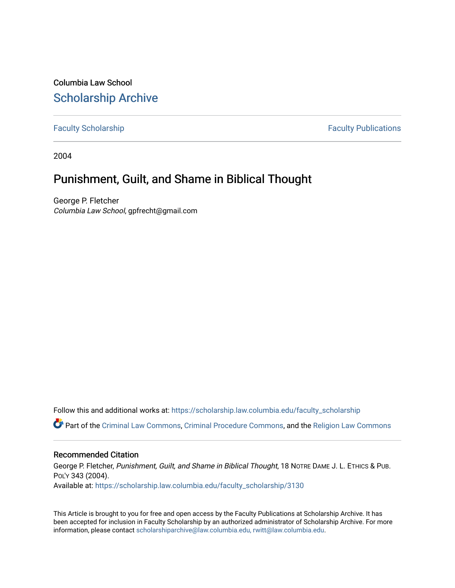Columbia Law School [Scholarship Archive](https://scholarship.law.columbia.edu/) 

[Faculty Scholarship](https://scholarship.law.columbia.edu/faculty_scholarship) **Faculty Scholarship Faculty Publications** 

2004

# Punishment, Guilt, and Shame in Biblical Thought

George P. Fletcher Columbia Law School, gpfrecht@gmail.com

Follow this and additional works at: [https://scholarship.law.columbia.edu/faculty\\_scholarship](https://scholarship.law.columbia.edu/faculty_scholarship?utm_source=scholarship.law.columbia.edu%2Ffaculty_scholarship%2F3130&utm_medium=PDF&utm_campaign=PDFCoverPages)

Part of the [Criminal Law Commons,](http://network.bepress.com/hgg/discipline/912?utm_source=scholarship.law.columbia.edu%2Ffaculty_scholarship%2F3130&utm_medium=PDF&utm_campaign=PDFCoverPages) [Criminal Procedure Commons,](http://network.bepress.com/hgg/discipline/1073?utm_source=scholarship.law.columbia.edu%2Ffaculty_scholarship%2F3130&utm_medium=PDF&utm_campaign=PDFCoverPages) and the [Religion Law Commons](http://network.bepress.com/hgg/discipline/872?utm_source=scholarship.law.columbia.edu%2Ffaculty_scholarship%2F3130&utm_medium=PDF&utm_campaign=PDFCoverPages) 

## Recommended Citation

George P. Fletcher, Punishment, Guilt, and Shame in Biblical Thought, 18 NOTRE DAME J. L. ETHICS & PUB. POL'Y 343 (2004). Available at: [https://scholarship.law.columbia.edu/faculty\\_scholarship/3130](https://scholarship.law.columbia.edu/faculty_scholarship/3130?utm_source=scholarship.law.columbia.edu%2Ffaculty_scholarship%2F3130&utm_medium=PDF&utm_campaign=PDFCoverPages)

This Article is brought to you for free and open access by the Faculty Publications at Scholarship Archive. It has been accepted for inclusion in Faculty Scholarship by an authorized administrator of Scholarship Archive. For more information, please contact [scholarshiparchive@law.columbia.edu, rwitt@law.columbia.edu](mailto:scholarshiparchive@law.columbia.edu,%20rwitt@law.columbia.edu).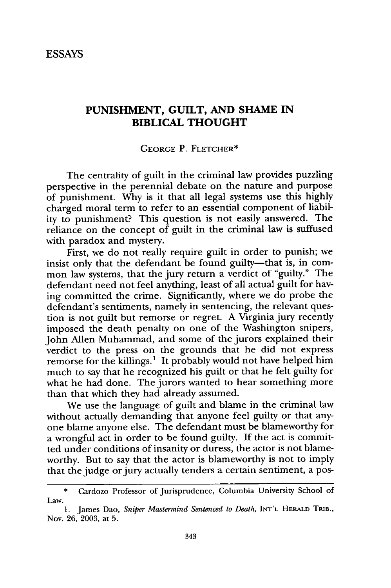# **PUNISHMENT, GUILT, AND SHAME IN BIBLICAL THOUGHT**

#### **GEORGE** P. FLETCHER\*

The centrality of guilt in the criminal law provides puzzling perspective in the perennial debate on the nature and purpose of punishment. **Why** is it that all legal systems use this highly charged moral term to refer to an essential component of liability to punishment? This question is not easily answered. The reliance on the concept of guilt in the criminal law is suffused with paradox and mystery.

First, we do not really require guilt in order to punish; we insist only that the defendant be found guilty-that is, in common law systems, that the jury return a verdict of "guilty." The defendant need not feel anything, least of all actual guilt for having committed the crime. Significantly, where we do probe the defendant's sentiments, namely in sentencing, the relevant question is not guilt but remorse or regret. A Virginia jury recently imposed the death penalty on one of the Washington snipers, John Allen Muhammad, and some of the jurors explained their verdict to the press on the grounds that he did not express remorse for the killings.' It probably would not have helped him much to say that he recognized his guilt or that he felt guilty for what he had done. The jurors wanted to hear something more than that which they had already assumed.

We use the language of guilt and blame in the criminal law without actually demanding that anyone feel guilty or that anyone blame anyone else. The defendant must be blameworthy for a wrongful act in order to be found guilty. If the act is committed under conditions of insanity or duress, the actor is not blameworthy. But to say that the actor is blameworthy is not to imply that the judge or jury actually tenders a certain sentiment, a pos-

<sup>\*</sup> Cardozo Professor of Jurisprudence, Columbia University School of Law.

<sup>1.</sup> James Dao, *Sniper Mastermind Sentenced to Death*, **INT'L HERALD TRIB.**, Nov. 26, 2003, at 5.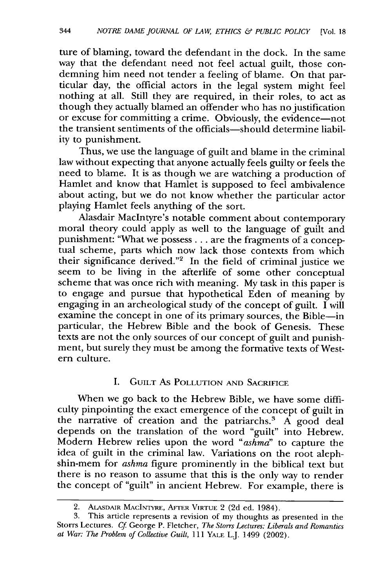ture of blaming, toward the defendant in the dock. In the same way that the defendant need not feel actual guilt, those condemning him need not tender a feeling of blame. On that particular day, the official actors in the legal system might feel nothing at all. Still they are required, in their roles, to act as though they actually blamed an offender who has no justification or excuse for committing a crime. Obviously, the evidence-not the transient sentiments of the officials-should determine liability to punishment.

Thus, we use the language of guilt and blame in the criminal law without expecting that anyone actually feels guilty or feels the need to blame. It is as though we are watching a production of Hamlet and know that Hamlet is supposed to feel ambivalence about acting, but we do not know whether the particular actor playing Hamlet feels anything of the sort.

Alasdair MacIntyre's notable comment about contemporary moral theory could apply as well to the language of guilt and punishment: "What we possess **...** are the fragments of a conceptual scheme, parts which now lack those contexts from which their significance derived."<sup>2</sup> In the field of criminal justice we seem to be living in the afterlife of some other conceptual scheme that was once rich with meaning. My task in this paper is to engage and pursue that hypothetical Eden of meaning by engaging in an archeological study of the concept of guilt. I will examine the concept in one of its primary sources, the Bible-in particular, the Hebrew Bible and the book of Genesis. These texts are not the only sources of our concept of guilt and punishment, but surely they must be among the formative texts of Western culture.

#### I. GUILT As POLLUTION AND SACRIFICE

When we go back to the Hebrew Bible, we have some difficulty pinpointing the exact emergence of the concept of guilt in the narrative of creation and the patriarchs.<sup>3</sup>  $\vec{A}$  good deal depends on the translation of the word "guilt" into Hebrew. Modern Hebrew relies upon the word *"ashma"* to capture the idea of guilt in the criminal law. Variations on the root alephshin-mem for *ashma* figure prominently in the biblical text but there is no reason to assume that this is the only way to render the concept of "guilt" in ancient Hebrew. For example, there is

<sup>2.</sup> **ALASDAIR** MACINTYRE, AFTER VIRTUE 2 (2d ed. 1984).

<sup>3.</sup> This article represents a revision of my thoughts as presented in the Storrs Lectures. *Cf* George P. Fletcher, *The Storrs Lectures: Liberals and Romantics at War: The Problem of Collective Guilt,* 111 YALE L.J. 1499 (2002).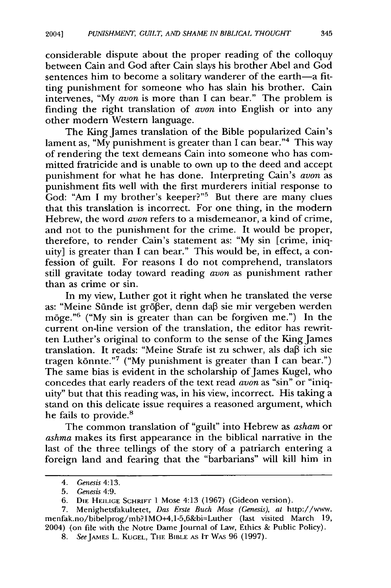considerable dispute about the proper reading of the colloquy between Cain and God after Cain slays his brother Abel and God sentences him to become a solitary wanderer of the earth-a fitting punishment for someone who has slain his brother. Cain intervenes, "My *avon* is more than I can bear." The problem is finding the right translation of *avon* into English or into any other modern Western language.

The King James translation of the Bible popularized Cain's lament as, "My punishment is greater than I can bear."<sup>4</sup> This way of rendering the text demeans Cain into someone who has committed fratricide and is unable to own up to the deed and accept punishment for what he has done. Interpreting Cain's *avon* as punishment fits well with the first murderers initial response to God: "Am I my brother's keeper?"5 But there are many clues that this translation is incorrect. For one thing, in the modern Hebrew, the word *avon* refers to a misdemeanor, a kind of crime, and not to the punishment for the crime. It would be proper, therefore, to render Cain's statement as: "My sin [crime, iniquity] is greater than I can bear." This would be, in effect, a confession of guilt. For reasons I do not comprehend, translators still gravitate today toward reading *avon* as punishment rather than as crime or sin.

In my view, Luther got it right when he translated the verse as: "Meine Sünde ist größer, denn daß sie mir vergeben werden m6ge."6 ("My sin is greater than can be forgiven me.") In the current on-line version of the translation, the editor has rewritten Luther's original to conform to the sense of the King James translation. It reads: "Meine Strafe ist zu schwer, als daß ich sie tragen könnte."7 ("My punishment is greater than I can bear.") The same bias is evident in the scholarship of James Kugel, who concedes that early readers of the text read *avon* as "sin" or "iniquity" but that this reading was, in his view, incorrect. His taking a stand on this delicate issue requires a reasoned argument, which he fails to provide.<sup>8</sup>

The common translation of "guilt" into Hebrew as *asham* or *ashma* makes its first appearance in the biblical narrative in the last of the three tellings of the story of a patriarch entering a foreign land and fearing that the "barbarians" will kill him in

<sup>4.</sup> *Genesis* 4:13.

*<sup>5.</sup> Genesis 4:9.*

<sup>6.</sup> DIE HEILIGE SCHRIFT 1 Mose 4:13 (1967) (Gideon version).

<sup>7.</sup> Menighetsfakultetet, *Das Erste Buch Mose (Genesis), at* http://www. menfak.no/bibelprog/mb?lMO+4,1-5,6&bi=Luther (last visited March 19, 2004) (on file with the Notre Dame Journal of Law, Ethics & Public Policy).

<sup>8.</sup> SeeJAMES L. KUGEL, THE BIBLE **AS** IT WAS 96 (1997).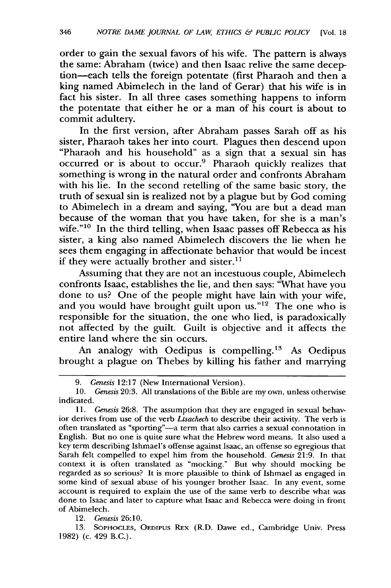order to gain the sexual favors of his wife. The pattern is always the same: Abraham (twice) and then Isaac relive the same deception-each tells the foreign potentate (first Pharaoh and then a king named Abimelech in the land of Gerar) that his wife is in fact his sister. In all three cases something happens to inform the potentate that either he or a man of his court is about to commit adultery.

In the first version, after Abraham passes Sarah off as his sister, Pharaoh takes her into court. Plagues then descend upon "Pharaoh and his household" as a sign that a sexual sin has occurred or is about to occur.<sup>9</sup> Pharaoh quickly realizes that something is wrong in the natural order and confronts Abraham with his lie. In the second retelling of the same basic story, the truth of sexual sin is realized not by a plague but by God coming to Abimelech in a dream and saying, "You are but a dead man because of the woman that you have taken, for she is a man's wife."10 In the third telling, when Isaac passes off Rebecca as his sister, a king also named Abimelech discovers the lie when he sees them engaging in affectionate behavior that would be incest if they were actually brother and sister.<sup>11</sup>

Assuming that they are not an incestuous couple, Abimelech confronts Isaac, establishes the lie, and then says: "What have you done to us? One of the people might have lain with your wife, and you would have brought guilt upon us."<sup>12</sup> The one who is responsible for the situation, the one who lied, is paradoxically not affected by the guilt. Guilt is objective and it affects the entire land where the sin occurs.

An analogy with Oedipus is compelling.<sup>13</sup> As Oedipus brought a plague on Thebes by killing his father and marrying

12. *Genesis* 26:10.

13. **SOPHOCLES, OEDIPUS** REx (R.D. Dawe ed., Cambridge Univ. Press 1982) (c. 429 B.C.).

<sup>9.</sup> *Genesis* 12:17 (New International Version).

<sup>10.</sup> *Genesis* 20:3. All translations of the Bible are my own, unless otherwise indicated.

*<sup>11.</sup> Genesis* 26:8. The assumption that they are engaged in sexual behavior derives from use of the verb *Ltsachech* to describe their activity. The verb is often translated as "sporting"-a term that also carries a sexual connotation in English. But no one is quite sure what the Hebrew word means. It also used a key term describing Ishmael's offense against Isaac, an offense so egregious that Sarah felt compelled to expel him from the household. *Genesis* 21:9. In that context it is often translated as "mocking." But why should mocking be regarded as so serious? It is more plausible to think of Ishmael as engaged in some kind of sexual abuse of his younger brother Isaac. In any event, some account is required to explain the use of the same verb to describe what was done to Isaac and later to capture what Isaac and Rebecca were doing in front of Abimelech.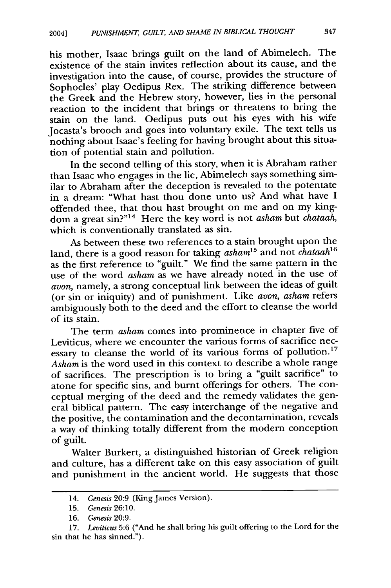his mother, Isaac brings guilt on the land of Abimelech. The existence of the stain invites reflection about its cause, and the investigation into the cause, of course, provides the structure of Sophocles' play Oedipus Rex. The striking difference between the Greek and the Hebrew story, however, lies in the personal reaction to the incident that brings or threatens to bring the stain on the land. Oedipus puts out his eyes with his wife Jocasta's brooch and goes into voluntary exile. The text tells us nothing about Isaac's feeling for having brought about this situation of potential stain and pollution.

In the second telling of this story, when it is Abraham rather than Isaac who engages in the lie, Abimelech says something similar to Abraham after the deception is revealed to the potentate in a dream: "What hast thou done unto us? And what have I offended thee, that thou hast brought on me and on my kingdom a great sin?"' 4 Here the key word is not *asham* but *chataah,* which is conventionally translated as sin.

As between these two references to a stain brought upon the land, there is a good reason for taking *asham'5* and not *chataah'6* as the first reference to "guilt." We find the same pattern in the use of the word *asham* as we have already noted in the use of *avon,* namely, a strong conceptual link between the ideas of guilt (or sin or iniquity) and of punishment. Like *avon, asham* refers ambiguously both to the deed and the effort to cleanse the world of its stain.

The term *asham* comes into prominence in chapter five of Leviticus, where we encounter the various forms of sacrifice necessary to cleanse the world of its various forms of pollution.<sup>17</sup> *Asham* is the word used in this context to describe a whole range of sacrifices. The prescription is to bring a "guilt sacrifice" to atone for specific sins, and burnt offerings for others. The conceptual merging of the deed and the remedy validates the general biblical pattern. The easy interchange of the negative and the positive, the contamination and the decontamination, reveals a way of thinking totally different from the modern conception of guilt.

Walter Burkert, a distinguished historian of Greek religion and culture, has a different take on this easy association of guilt and punishment in the ancient world. He suggests that those

<sup>14.</sup> *Genesis* 20:9 (King James Version).

<sup>15.</sup> *Genesis* 26:10.

<sup>16.</sup> *Genesis* 20:9.

*<sup>17.</sup> Leviticus* 5:6 ("And he shall bring his guilt offering to the Lord for the sin that he has sinned.").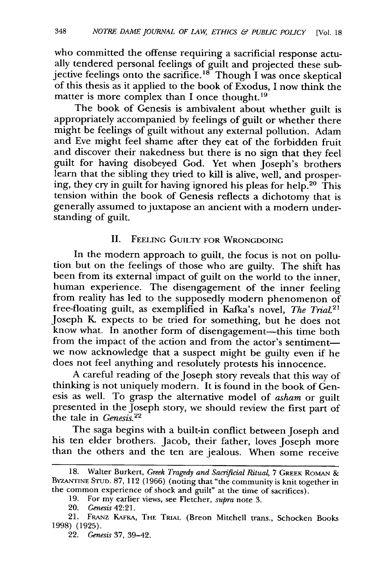who committed the offense requiring a sacrificial response actually tendered personal feelings of guilt and projected these subjective feelings onto the sacrifice.<sup>18</sup> Though I was once skeptical of this thesis as it applied to the book of Exodus, I now think the matter is more complex than I once thought.<sup>19</sup>

The book of Genesis is ambivalent about whether guilt is appropriately accompanied by feelings of guilt or whether there might be feelings of guilt without any external pollution. Adam and Eve might feel shame after they eat of the forbidden fruit and discover their nakedness but there is no sign that they feel guilt for having disobeyed God. Yet when Joseph's brothers learn that the sibling they tried to kill is alive, well, and prospering, they cry in guilt for having ignored his pleas for help.<sup>20</sup> This tension within the book of Genesis reflects a dichotomy that is generally assumed to juxtapose an ancient with a modern understanding of guilt.

## II. FEELING GUILTY FOR WRONGDOING

In the modern approach to guilt, the focus is not on pollu- tion but on the feelings of those who are guilty. The shift has been from its external impact of guilt on the world to the inner, human experience. The disengagement of the inner feeling from reality has led to the supposedly modern phenomenon of free-floating guilt, as exemplified in Kafka's novel, The Trial.<sup>21</sup> Joseph K. expects to be tried for something, but he does not know what. In another form of disengagement-this time both from the impact of the action and from the actor's sentimentwe now acknowledge that a suspect might be guilty even if he does not feel anything and resolutely protests his innocence.

A careful reading of the Joseph story reveals that this way of thinking is not uniquely modern. It is found in the book of Genesis as well. To grasp the alternative model of *asham* or guilt presented in the Joseph story, we should review the first part of the tale in *Genesis.22*

The saga begins with a built-in conflict between Joseph and his ten elder brothers. Jacob, their father, loves Joseph more than the others and the ten are jealous. When some receive

<sup>18.</sup> Walter Burkert, *Greek Tragedy and Sacrificial Ritual*, 7 GREEK ROMAN & BYZANTINE STUD. 87, 112 (1966) (noting that "the community is knit together in the common experience of shock and guilt" at the time of sacrifices).

<sup>19.</sup> For my earlier views, see Fletcher, *supra* note 3.

<sup>20.</sup> *Genesis* 42:21.

<sup>21.</sup> FRANZ KAFKA, **HE** TRIAL (Breon Mitchell trans., Schocken Books 1998) (1925).

<sup>22.</sup> *Genesis* 37, 39-42.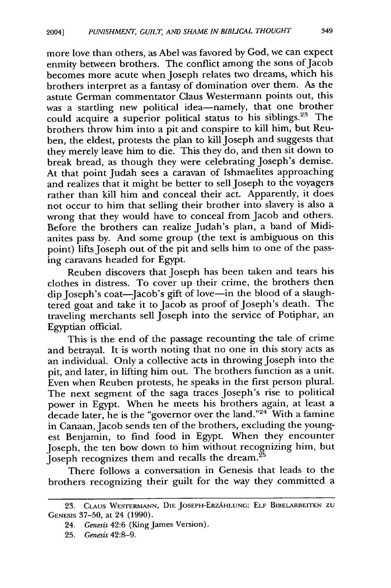more love than others, as Abel was favored by God, we can expect enmity between brothers. The conflict among the sons of Jacob becomes more acute when Joseph relates two dreams, which his brothers interpret as a fantasy of domination over them. As the astute German commentator Claus Westermann points out, this was a startling new political idea-namely, that one brother could acquire a superior political status to his siblings.<sup>23</sup> The brothers throw him into a pit and conspire to kill him, but Reuben, the eldest, protests the plan to kill Joseph and suggests that they merely leave him to die. This they do, and then sit down to break bread, as though they were celebrating Joseph's demise. At that point Judah sees a caravan of Ishmaelites approaching and realizes that it might be better to sell Joseph to the voyagers rather than kill him and conceal their act. Apparently, it does not occur to him that selling their brother into slavery is also a wrong that they would have to conceal from Jacob and others. Before the brothers can realize Judah's plan, a band of Midianites pass by. And some group (the text is ambiguous on this point) lifts Joseph out of the pit and sells him to one of the passing caravans headed for Egypt.

Reuben discovers that Joseph has been taken and tears his clothes in distress. To cover up their crime, the brothers then dip Joseph's coat-Jacob's gift of love-in the blood of a slaughtered goat and take it to Jacob as proof of Joseph's death. The traveling merchants sell Joseph into the service of Potiphar, an Egyptian official.

This is the end of the passage recounting the tale of crime and betrayal. It is worth noting that no one in this story acts as an individual. Only a collective acts in throwing Joseph into the pit, and later, in lifting him out. The brothers function as a unit. Even when Reuben protests, he speaks in the first person plural. The next segment of the saga traces Joseph's rise to political power in Egypt. When he meets his brothers again, at least a decade later, he is the "governor over the land."<sup>24</sup> With a famine in Canaan, Jacob sends ten of the brothers, excluding the youngest Benjamin, to find food in Egypt. When they encounter Joseph, the ten bow down to him without recognizing him, but Joseph recognizes them and recalls the dream.<sup>25</sup>

There follows a conversation in Genesis that leads to the brothers recognizing their guilt for the way they committed a

<sup>23.</sup> **CLAUS WESTERMANN, DIE JOSEPH-ERZAHLUNG: ELF** BIBELARBEITEN **ZU** GENESIS 37-50, at 24 (1990).

<sup>24.</sup> *Genesis* 42:6 (King James Version).

<sup>25.</sup> *Genesis* 42:8-9.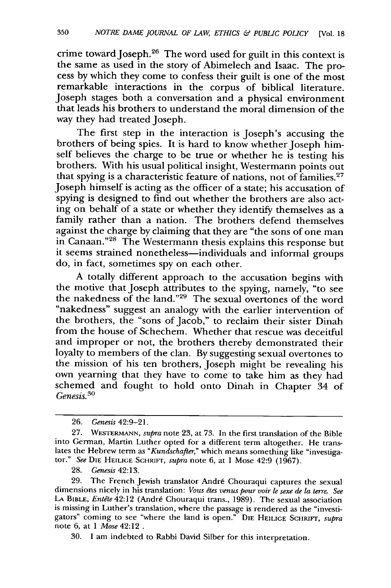crime toward Joseph.26 The word used for guilt in this context is the same as used in the story of Abimelech and Isaac. The process by which they come to confess their guilt is one of the most remarkable interactions in the corpus of biblical literature. Joseph stages both a conversation and a physical environment that leads his brothers to understand the moral dimension of the way they had treated Joseph.

The first step in the interaction is Joseph's accusing the brothers of being spies. It is hard to know whether Joseph himself believes the charge to be true or whether he is testing his brothers. With his usual political insight, Westermann points out that spying is a characteristic feature of nations, not of families. $27$ Joseph himself is acting as the officer of a state; his accusation of spying is designed to find out whether the brothers are also acting on behalf of a state or whether they identify themselves as a family rather than a nation. The brothers defend themselves against the charge by claiming that they are "the sons of one man in Canaan."<sup>28</sup> The Westermann thesis explains this response but it seems strained nonetheless—individuals and informal groups do, in fact, sometimes spy on each other.

A totally different approach to the accusation begins with the motive that Joseph attributes to the spying, namely, "to see<br>the nakedness of the land."<sup>29</sup> The sexual overtones of the word the nakedness of the land."29 The sexual overtones of the word "nakedness" suggest an analogy with the earlier intervention of the brothers, the "sons of Jacob," to reclaim their sister Dinah from the house of Schechem. Whether that rescue was deceitful and improper or not, the brothers thereby demonstrated their loyalty to members of the clan. By suggesting sexual overtones to the mission of his ten brothers, Joseph might be revealing his own yearning that they have to come to take him as they had schemed and fought to hold onto Dinah in Chapter 34 of *Genesis.30*

28. *Genesis* 42:13.

30. I am indebted to Rabbi David Silber for this interpretation.

<sup>26.</sup> *Genesis* 42:9-21.

<sup>27.</sup> **WESTERMANN,** *supra* note 23, at 73. In the first translation of the Bible into German, Martin Luther opted for a different term altogether. He translates the Hebrew term as *"Kundschafter,"* which means something like "investigator." *See* **DIE HEILIGE** SCHRIFr, *supra* note 6, at 1 Mose 42:9 (1967).

<sup>29.</sup> The French Jewish translator André Chouraqui captures the sexual dimensions nicely in his translation: *Vous tes venus pour voir le sexe de la terre. See* LA BIBLE, *Entête* 42:12 (André Chouraqui trans., 1989). The sexual association is missing in Luther's translation, where the passage is rendered as the "investigators" coming to see "where the land is open." **DIE HEILIGE SCHRIFT,** *supra* note 6, at 1 *Mose* 42:12 **.**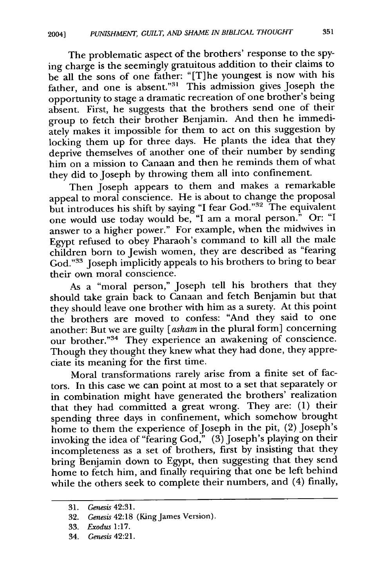The problematic aspect of the brothers' response to the spying charge is the seemingly gratuitous addition to their claims to be all the sons of one father: "[T]he youngest is now with his  $f$ ather, and one is absent."<sup>31</sup> This admission gives Joseph the opportunity to stage a dramatic recreation of one brother's being absent. First, he suggests that the brothers send one of their group to fetch their brother Benjamin. And then he immediately makes it impossible for them to act on this suggestion by locking them up for three days. He plants the idea that they deprive themselves of another one of their number by sending him on a mission to Canaan and then he reminds them of what they did to Joseph by throwing them all into confinement.

Then Joseph appears to them and makes a remarkable appeal to moral conscience. He is about to change the proposal but introduces his shift by saying "I fear God."<sup>32</sup> The equivalent one would use today would be, "I am a moral person." Or: "I answer to a higher power." For example, when the midwives in Egypt refused to obey Pharaoh's command to kill all the male children born to Jewish women, they are described as "fearing God."33 Joseph implicitly appeals to his brothers to bring to bear their own moral conscience.

As a "moral person," Joseph tell his brothers that they should take grain back to Canaan and fetch Benjamin but that they should leave one brother with him as a surety. At this point the brothers are moved to confess: "And they said to one another: But we are guilty *[asham* in the plural form] concerning our brother."34 They experience an awakening of conscience. Though they thought they knew what they had done, they appreciate its meaning for the first time.

Moral transformations rarely arise from a finite set of factors. In this case we can point at most to a set that separately or in combination might have generated the brothers' realization that they had committed a great wrong. They are: (1) their spending three days in confinement, which somehow brought home to them the experience of Joseph in the pit, (2) Joseph's invoking the idea of "fearing God," (3) Joseph's playing on their incompleteness as a set of brothers, first by insisting that they bring Benjamin down to Egypt, then suggesting that they send home to fetch him, and finally requiring that one be left behind while the others seek to complete their numbers, and (4) finally,

<sup>31.</sup> *Genesis* 42:31.

<sup>32.</sup> *Genesis* 42:18 (King James Version).

<sup>33.</sup> *Exodus* 1:17.

<sup>34.</sup> *Genesis* 42:21.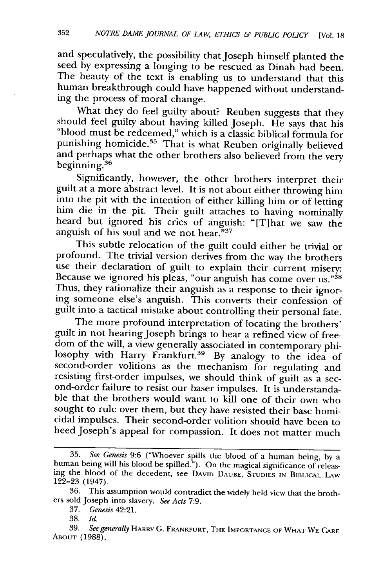and speculatively, the possibility that Joseph himself planted the seed by expressing a longing to be rescued as Dinah had been. The beauty of the text is enabling us to understand that this human breakthrough could have happened without understanding the process of moral change.

What they do feel guilty about? Reuben suggests that they should feel guilty about having killed Joseph. He says that his "blood must be redeemed," which is a classic biblical formula for punishing homicide.<sup>35</sup> That is what Reuben originally believed and perhaps what the other brothers also believed from the very beginning. $36$ 

Significantly, however, the other brothers interpret their guilt at a more abstract level. It is not about either throwing him<br>into the pit with the intention of either killing him or of letting him die in the pit. Their guilt attaches to having nominally heard but ignored his cries of anguish: "[T]hat we saw the anguish of his soul and we not hear."37

This subtle relocation of the guilt could either be trivial or profound. The trivial version derives from the way the brothers use their declaration of guilt to explain their current misery: Because we ignored his pleas, "our anguish has come over us."<sup>38</sup> Thus, they rationalize their anguish as a response to their ignor- ing someone else's anguish. This converts their confession of guilt into a tactical mistake about controlling their personal fate.

The more profound interpretation of locating the brothers' guilt in not hearing Joseph brings to bear a refined view of free-<br>dom of the will, a view generally associated in contemporary philosophy with Harry Frankfurt.<sup>39</sup> By analogy to the idea of second-order volitions as the mechanism for regulating and resisting first-order impulses, we should think of guilt as a second-order failure to resist our baser impulses. It is understandable that the brothers would want to kill one of their own who sought to rule over them, but they have resisted their base homicidal impulses. Their second-order volition should have been to heed Joseph's appeal for compassion. It does not matter much

<sup>35.</sup> *See Genesis* 9:6 ("Whoever spills the blood of a human being, by a human being will his blood be spilled."). On the magical significance of releasing the blood of the decedent, see **DAVID DAUBE, STUDIES IN** BIBLICAL LAW 122-23 (1947).

<sup>36.</sup> This assumption would contradict the widely held view that the brothers sold Joseph into slavery. *See Acts* 7:9.

<sup>37.</sup> *Genesis* 42:21.

<sup>38.</sup> *Id.*

<sup>39.</sup> *See generally* HARRY **G.** FRANKFURT, THE IMPORTANCE OF WHAT WE CARE **ABOUT** (1988).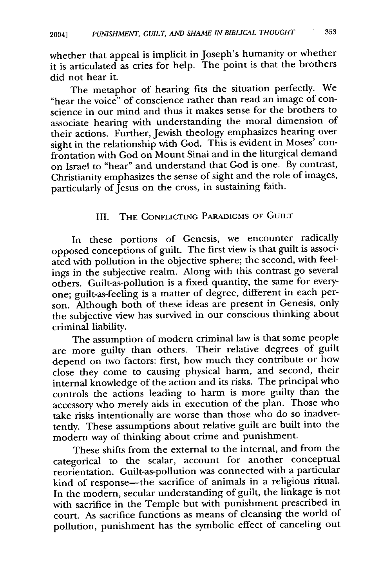whether that appeal is implicit in Joseph's humanity or whether it is articulated as cries for help. The point is that the brothers did not hear it.

The metaphor of hearing fits the situation perfectly. We "hear the voice" of conscience rather than read an image of conscience in our mind and thus it makes sense for the brothers to associate hearing with understanding the moral dimension of their actions. Further, Jewish theology emphasizes hearing over sight in the relationship with God. This is evident in Moses' confrontation with God on Mount Sinai and in the liturgical demand on Israel to "hear" and understand that God is one. By contrast, Christianity emphasizes the sense of sight and the role of images, particularly of Jesus on the cross, in sustaining faith.

### III. **THE CONFLICTING** PARADIGMS OF GUILT

In these portions of Genesis, we encounter radically opposed conceptions of guilt. The first view is that guilt is associated with pollution in the objective sphere; the second, with feelings in the subjective realm. Along with this contrast go several others. Guilt-as-pollution is a fixed quantity, the same for everyone; guilt-as-feeling is a matter of degree, different in each person. Although both of these ideas are present in Genesis, only the subjective view has survived in our conscious thinking about criminal liability.

The assumption of modern criminal law is that some people are more guilty than others. Their relative degrees of guilt depend on two factors: first, how much they contribute or how close they come to causing physical harm, and second, their internal knowledge of the action and its risks. The principal who controls the actions leading to harm is more guilty than the accessory who merely aids in execution of the plan. Those who take risks intentionally are worse than those who do so inadvertently. These assumptions about relative guilt are built into the modem way of thinking about crime and punishment.

These shifts from the external to the internal, and from the categorical to the scalar, account for another conceptual reorientation. Guilt-as-pollution was connected with a particular kind of response-the sacrifice of animals in a religious ritual. In the modern, secular understanding of guilt, the linkage is not with sacrifice in the Temple but with punishment prescribed in court. As sacrifice functions as means of cleansing the world of pollution, punishment has the symbolic effect of canceling out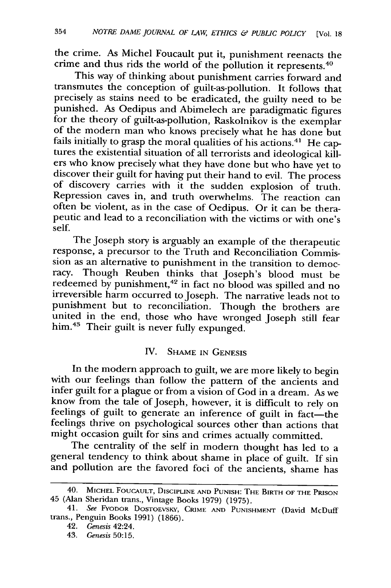the crime. As Michel Foucault put it, punishment reenacts the crime and thus rids the world of the pollution it represents.<sup>40</sup>

This way of thinking about punishment carries forward and transmutes the conception of guilt-as-pollution. It follows that precisely as stains need to be eradicated, the guilty need to be punished. As Oedipus and Abimelech are paradigmatic figures for the theory of guilt-as-pollution, Raskolnikov is the exemplar of the modern man who knows precisely what he has done but fails initially to grasp the moral qualities of his actions.<sup>41</sup> He captures the existential situation of all terrorists and ideological killers who know precisely what they have done but who have yet to discover their guilt for having put their hand to evil. The process of discovery carries with it the sudden explosion of truth. Repression caves in, and truth overwhelms. The reaction can often be violent, as in the case of Oedipus. Or it can be therapeutic and lead to a reconciliation with the victims or with one's self.

The Joseph story is arguably an example of the therapeutic response, a precursor to the Truth and Reconciliation Commission as an alternative to punishment in the transition to democracy. Though Reuben thinks that Joseph's blood must be redeemed by punishment,<sup>42</sup> in fact no blood was spilled and no irreversible harm occurred to Joseph. The narrative leads not to punishment but to reconciliation. Though the brothers are united in the end, those who have wronged Joseph still fear him.<sup>43</sup> Their guilt is never fully expunged.

#### IV. SHAME IN GENESIS

In the modern approach to guilt, we are more likely to begin with our feelings than follow the pattern of the ancients and infer guilt for a plague or from a vision of God in a dream. As we know from the tale of Joseph, however, it is difficult to rely on feelings of guilt to generate an inference of guilt in fact-the feelings thrive on psychological sources other than actions that might occasion guilt for sins and crimes actually committed.

The centrality of the self in modern thought has led to a general tendency to think about shame in place of guilt. If sin and pollution are the favored foci of the ancients, shame has

<sup>40.</sup> **MICHEL** FOUCAULT, **DISCIPLINE AND PUNISH:** THE BIRTH OF THE PRISON 45 (Alan Sheridan trans., Vintage Books 1979) (1975).

<sup>41.</sup> *See* FYODOR DOSTOEVSKY, **CRIME AND PUNISHMENT** (David McDuff trans., Penguin Books 1991) (1866).

*<sup>42.</sup>* Genesis 42:24.

<sup>43.</sup> Genesis 50:15.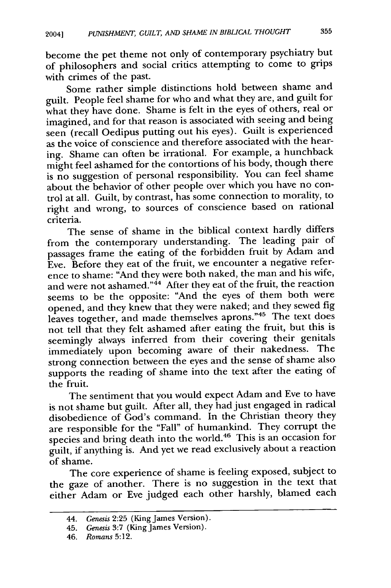become the pet theme not only of contemporary psychiatry but of philosophers and social critics attempting to come to grips with crimes of the past.

Some rather simple distinctions hold between shame and guilt. People feel shame for who and what they are, and guilt for what they have done. Shame is felt in the eyes of others, real or imagined, and for that reason is associated with seeing and being seen (recall Oedipus putting out his eyes). Guilt is experienced as the voice of conscience and therefore associated with the hearing. Shame can often be irrational. For example, a hunchback might feel ashamed for the contortions of his body, though there is no suggestion of personal responsibility. You can feel shame about the behavior of other people over which you have no control at all. Guilt, by contrast, has some connection to morality, to right and wrong, to sources of conscience based on rational criteria.

The sense of shame in the biblical context hardly differs from the contemporary understanding. The leading pair of passages frame the eating of the forbidden fruit by Adam and Eve. Before they eat of the fruit, we encounter a negative reference to shame: "And they were both naked, the man and his wife, and were not ashamed."<sup>44</sup> After they eat of the fruit, the reaction seems to be the opposite: "And the eyes of them both were opened, and they knew that they were naked; and they sewed fig leaves together, and made themselves aprons."<sup>45</sup> The text does not tell that they felt ashamed after eating the fruit, but this is seemingly always inferred from their covering their genitals immediately upon becoming aware of their nakedness. The strong connection between the eyes and the sense of shame also supports the reading of shame into the text after the eating of the fruit.

The sentiment that you would expect Adam and Eve to have is not shame but guilt. After all, they had just engaged in radical disobedience of God's command. In the Christian theory they are responsible for the "Fall" of humankind. They corrupt the species and bring death into the world.<sup>46</sup> This is an occasion for guilt, if anything is. And yet we read exclusively about a reaction of shame.

The core experience of shame is feeling exposed, subject to the gaze of another. There is no suggestion in the text that either Adam or Eve judged each other harshly, blamed each

<sup>44.</sup> *Genesis* 2:25 (King James Version).

<sup>45.</sup> *Genesis* 3:7 (King James Version).

<sup>46.</sup> Romans 5:12.